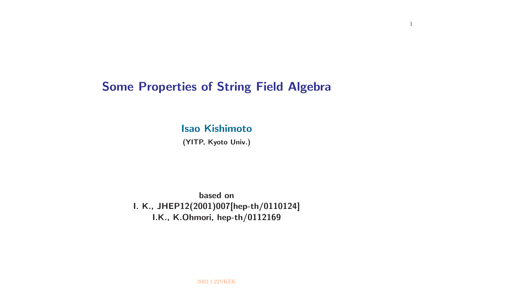# **Some Properties of String Field Algebra**

**Isao Kishimoto**

**(YITP, Kyoto Univ.)**

**based on I. K., JHEP12(2001)007[hep-th/0110124] I.K., K.Ohmori, hep-th/0112169**

1

2002.1.22@KEK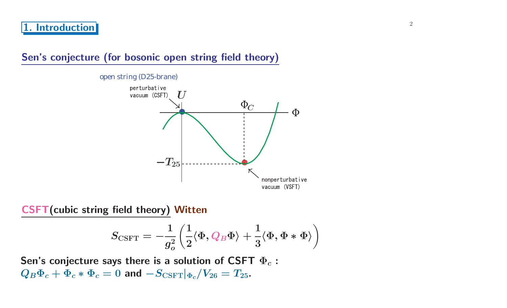## **Sen's conjecture (for bosonic open string field theory)**

open string (D25-brane)



**CSFT(cubic string field theory) Witten**

$$
S_{\mathrm{CSFT}}=-\frac{1}{g_o^2}\left(\frac{1}{2}\langle \Phi, Q_B\Phi\rangle+\frac{1}{3}\langle \Phi, \Phi*\Phi\rangle\right)
$$

**Sen's conjecture says there is <sup>a</sup> solution of CSFT Φ***<sup>c</sup>* **:**  $Q_B \Phi_c + \Phi_c * \Phi_c = 0$  and  $-S_{\text{CSFT}}|_{\Phi_c}/V_{26} = T_{25}$ .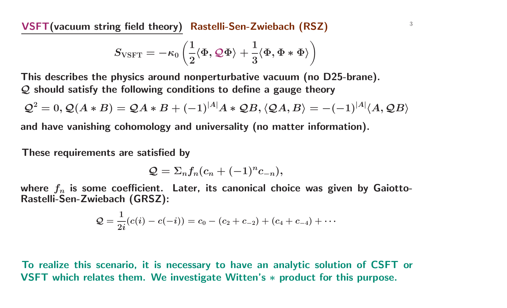<sup>3</sup> **VSFT(vacuum string field theory) Rastelli-Sen-Zwiebach (RSZ)**

$$
S_{\text{VSFT}}=-\kappa_0\left(\frac{1}{2}\langle \Phi, {\cal Q}\Phi\rangle+\frac{1}{3}\langle \Phi, \Phi*\Phi\rangle\right)
$$

**This describes the physics around nonperturbative vacuum (no D25-brane).** *Q* **should satisfy the following conditions to define <sup>a</sup> gauge theory**

$$
\mathcal{Q}^2 = 0, \mathcal{Q}(A * B) = \mathcal{Q}A * B + (-1)^{|A|}A * \mathcal{Q}B, \langle \mathcal{Q}A, B \rangle = -(-1)^{|A|} \langle A, \mathcal{Q}B \rangle
$$

**and have vanishing cohomology and universality (no matter information).**

**These requirements are satisfied by**

$$
\mathcal{Q}=\Sigma_nf_n(c_n+(-1)^nc_{-n}),
$$

where  $f_n$  is some coefficient. Later, its canonical choice was given by Gaiotto-**Rastelli-Sen-Zwiebach (GRSZ):**

$$
\mathcal{Q}=\frac{1}{2i}(c(i)-c(-i))=c_0-(c_2+c_{-2})+(c_4+c_{-4})+\cdots
$$

To realize this scenario, it is necessary to have an analytic solution of CSFT or **VSFT which relates them. We investigate Witten's** *<sup>∗</sup>* **product for this purpose.**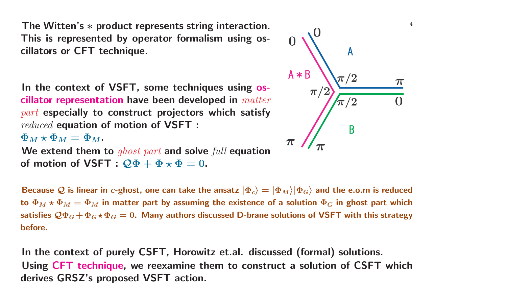**The Witten's ∗ product represents string interaction.** △ **This is represented by operator formalism using oscillators or CFT technique.**

**In the context of VSFT, some techniques using oscillator representation have been developed in** *matter part* **especially to construct projectors which satisfy** *reduced* **equation of motion of VSFT :**

 $\Phi_M \star \Phi_M = \Phi_M.$ 

**We extend them to** *ghost part* **and solve** *full* **equation of** motion of <code>VSFT</code> :  $\mathcal{Q}\Phi + \Phi \star \Phi = 0$ .



Because  ${\cal Q}$  is linear in  $c$ -ghost, one can take the ansatz  $|\Phi_c\rangle=|\Phi_M\rangle|\Phi_G\rangle$  and the e.o.m is reduced to  $\Phi_M\star \Phi_M=\Phi_M$  in matter part by assuming the existence of a solution  $\Phi_G$  in ghost part which satisfies  $\mathcal{Q}\Phi_G+\Phi_G\star\Phi_G=0.$  Many authors discussed D-brane solutions of VSFT with this strategy **before.**

**In the context of purely CSFT, Horowitz et.al. discussed (formal) solutions.** Using CFT technique, we reexamine them to construct a solution of CSFT which **derives GRSZ's proposed VSFT action.**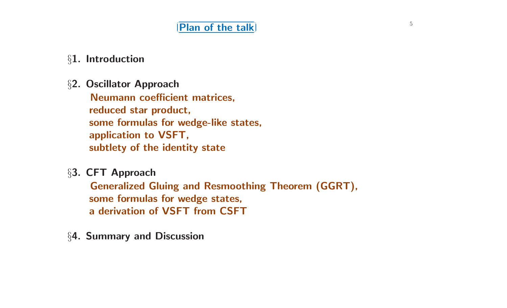#### $\overline{5}$   $\overline{5}$   $\overline{1}$   $\overline{5}$   $\overline{1}$   $\overline{1}$   $\overline{1}$   $\overline{2}$   $\overline{5}$   $\overline{1}$   $\overline{2}$   $\overline{5}$   $\overline{2}$   $\overline{1}$   $\overline{2}$   $\overline{3}$   $\overline{2}$   $\overline{3}$   $\overline{2}$   $\overline{3}$   $\overline{2}$   $\overline{3}$   $\overline{3}$   $\overline{2}$   $\overline{$ ✝ ☎ **Plan of the talk** ✆

## *§***1. Introduction**

*§***2. Oscillator Approach**

**Neumann coefficient matrices, reduced star product, some formulas for wedge-like states, application to VSFT, subtlety of the identity state**

*§***3. CFT Approach**

**Generalized Gluing and Resmoothing Theorem (GGRT), some formulas for wedge states, <sup>a</sup> derivation of VSFT from CSFT**

*§***4. Summary and Discussion**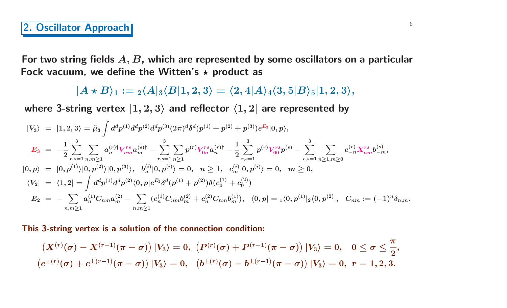# <sup>6</sup> **2. Oscillator Approach**

For two string fields  $A, B$ , which are represented by some oscillators on a particular **Fock vacuum, we define the Witten's** *-* **product as**

$$
|A\star B\rangle_1:= {}_2\langle A|_3\langle B|1,2,3\rangle = \langle 2,4|A\rangle_4\langle 3,5|B\rangle_5 |1,2,3\rangle,
$$

where 3-string vertex  $|1,2,3\rangle$  and reflector  $\langle 1,2|$  are represented by

$$
\begin{array}{lcl} |V_{3}\rangle&=&|1,2,3\rangle=\tilde{\mu}_{3}\int d^{d}p^{(1)}d^{d}p^{(2)}d^{d}p^{(3)}(2\pi)^{d}\delta^{d}(p^{(1)}+p^{(2)}+p^{(3)})e^{E_{3}}|0,p\rangle,\\ \quad E_{3}&=-\frac{1}{2}\sum_{r,s=1}^{3}\sum_{n,m\geq 1}a^{(r)\dagger}_{n}V_{nm}^{rs}a^{(s)\dagger}_{m}-\sum_{r,s=1}^{3}\sum_{n\geq 1}p^{(r)}V_{0n}^{rs}a^{(r)\dagger}_{n}-\frac{1}{2}\sum_{r,s=1}^{3}p^{(r)}V_{00}^{rs}p^{(s)}-\sum_{r,s=1}^{3}\sum_{n\geq 1,n\geq 0}c_{-n}^{(r)}X_{nm}^{rs}b_{-m}^{(s)},\\ |0,p\rangle&=&|0,p^{(1)}\rangle|0,p^{(2)}\rangle|0,p^{(3)}\rangle,\;\;b^{(i)}_{n}|0,p^{(i)}\rangle=0,\;\;n\geq 1,\;\;c^{(i)}_{m}|0,p^{(i)}\rangle=0,\;\;m\geq 0,\\ \langle V_{2}|&=&\langle 1,2 |=\int d^{d}p^{(1)}d^{d}p^{(2)}\langle 0,p|e^{E_{2}}\delta^{d}(p^{(1)}+p^{(2)})\delta(c^{(1)}_{0}+c^{(2)}_{0})\\ E_{2}&=-\sum_{n,m\geq 1}a^{(1)}_{n}C_{nm}a^{(2)}_{m}-\sum_{n,m\geq 1}(c^{(1)}_{n}C_{nm}b^{(2)}_{m}+c^{(2)}_{n}C_{nm}b^{(1)}_{m}),\;\;\langle 0,p|={}_{1}\langle 0,p^{(1)}|{}_{2}\langle 0,p^{(2)}|,\;\;C_{nm}:=(-1)^{n}\delta_{n,m}. \end{array}
$$

**This 3-string vertex is <sup>a</sup> solution of the connection condition:**

$$
\left(X^{(r)}(\sigma)-X^{(r-1)}(\pi-\sigma)\right)|V_3\rangle=0,\ \left(P^{(r)}(\sigma)+P^{(r-1)}(\pi-\sigma)\right)|V_3\rangle=0,\quad 0\leq\sigma\leq\frac{\pi}{2},\\ \left(c^{\pm(r)}(\sigma)+c^{\pm(r-1)}(\pi-\sigma)\right)|V_3\rangle=0,\ \ \left(b^{\pm(r)}(\sigma)-b^{\pm(r-1)}(\pi-\sigma)\right)|V_3\rangle=0,\ r=1,2,3.
$$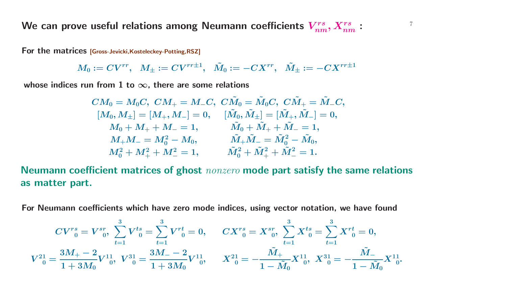We can prove useful relations among Neumann coefficients  $V_{nm}^{rs}, X_{nm}^{rs}$ :  $V_{nm}^{rs}$ 

**For the matrices [Gross-Jevicki,Kosteleckey-Potting,RSZ]**

$$
M_0:=CV^{rr},\;\;M_{\pm}:=CV^{rr\pm 1},\;\;\tilde{M}_0:=-CX^{rr},\;\;\tilde{M}_{\pm}:=-CX^{rr\pm 1}
$$

*x***hose indices** *run* **from** 1 **to**  $\infty$ , **there** are some relations

$$
\begin{aligned} CM_0 &= M_0C, \; CM_+ = M_-C, \; C\tilde{M}_0 = \tilde{M}_0C, \; C\tilde{M}_+ = \tilde{M}_-C, \\ [M_0,M_\pm] &= [M_+,M_-]=0, \quad [\tilde{M}_0,\tilde{M}_\pm] = [\tilde{M}_+,\tilde{M}_-]=0, \\ M_0 + M_+ + M_- &= 1, \qquad \tilde{M}_0 + \tilde{M}_+ + \tilde{M}_- = 1, \\ M_+M_- &= M_0^2 - M_0, \qquad \tilde{M}_+\tilde{M}_- = \tilde{M}_0^2 - \tilde{M}_0, \\ M_0^2 + M_+^2 + M_-^2 &= 1, \qquad \tilde{M}_0^2 + \tilde{M}_+^2 + \tilde{M}_-^2 = 1. \end{aligned}
$$

Neumann coefficient matrices of ghost nonzero mode part satisfy the same relations **as matter part.**

For Neumann coefficients which have zero mode indices, using vector notation, we have found

$$
CV^r{}_0^s=V^{sr}_0,\ \sum_{t=1}^3V^{ts}_{\phantom{ts}0}=\sum_{t=1}^3V^{rt}_{\phantom{ts}0}=0,\qquad CX^r{}_0^s=X^{sr}_{\phantom{sr}0},\ \sum_{t=1}^3X^{ts}_{\phantom{ts}0}=\sum_{t=1}^3X^{rt}_{\phantom{ts}0}=0,\\ V^{21}_{\phantom{5}0}=\frac{3M_+-2}{1+3M_0}V^{11}_{\phantom{1}0},\ \ V^{31}_{\phantom{5}0}=\frac{3M_--2}{1+3M_0}V^{11}_{\phantom{1}0},\quad X^{21}_{\phantom{5}0}=-\frac{\tilde{M}_+}{1-\tilde{M}_0}X^{11}_{\phantom{1}0},\ X^{31}_{\phantom{5}0}=-\frac{\tilde{M}_-}{1-\tilde{M}_0}X^{11}_{\phantom{1}0}.
$$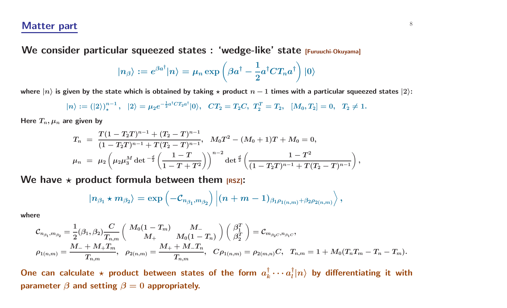#### **Matter part** 8

**We consider particular squeezed states : 'wedge-like' state [Furuuchi-Okuyama]**

$$
|n_{\beta}\rangle:=e^{\beta a^{\dagger}}|n\rangle=\mu_n\exp\left(\beta a^{\dagger}-\frac{1}{2}a^{\dagger}CT_n a^{\dagger}\right)|0\rangle
$$

where  $|n\rangle$  is given by the state which is obtained by taking  $\star$  product  $n-1$  times with a particular squeezed states  $|2\rangle$ :

$$
|n\rangle := (|2\rangle)^{n-1}_\star, \ \ |2\rangle = \mu_2 e^{-\frac{1}{2}a^\dagger C T_2 a^\dagger} |0\rangle, \ \ CT_2 = T_2 C, \ T_2^T = T_2, \ \ [M_0, T_2] = 0, \ \ T_2 \neq 1.
$$

Here  $T_n, \mu_n$  are given by

$$
T_n = \frac{T(1 - T_2T)^{n-1} + (T_2 - T)^{n-1}}{(1 - T_2T)^{n-1} + T(T_2 - T)^{n-1}}, \quad M_0T^2 - (M_0 + 1)T + M_0 = 0,
$$
  

$$
\mu_n = \mu_2 \left( \mu_2 \mu_3^M \det^{-\frac{d}{2}} \left( \frac{1 - T}{1 - T + T^2} \right) \right)^{n-2} \det^{\frac{d}{2}} \left( \frac{1 - T^2}{(1 - T_2T)^{n-1} + T(T_2 - T)^{n-1}} \right),
$$

**We have** *-* **product formula between them [RSZ]:**

$$
|n_{\beta_1}\star m_{\beta_2}\rangle=\exp\left(-\mathcal{C}_{n_{\beta_1},m_{\beta_2}}\right)\left|(n+m-1)_{\beta_1\rho_{1(n,m)}+\beta_2\rho_{2(n,m)}}\right\rangle,
$$

**where**

$$
\mathcal{C}_{n_{\beta_1},m_{\beta_2}}=\frac{1}{2}(\beta_1,\beta_2)\frac{C}{T_{n,m}}\left(\begin{array}{cc} M_0(1-T_m) & M_- \\ M_+ & M_0(1-T_n) \end{array}\right)\left(\begin{array}{c} \beta_1^T \\ \beta_2^T \end{array}\right)=\mathcal{C}_{m_{\beta_2C},n_{\beta_1C}},\\ \rho_{1(n,m)}=\frac{M_-+M_+T_m}{T_{n,m}},\quad \rho_{2(n,m)}=\frac{M_++M_-T_n}{T_{n,m}},\quad C\rho_{1(n,m)}=\rho_{2(m,n)}C,\quad T_{n,m}=1+M_0(T_nT_m-T_n-T_m).
$$

One can calculate  $\star$  product between states of the form  $a_k^\dagger \cdots a_l^\dagger |n\rangle$  by differentiating it with **parameter**  $\beta$  **and setting**  $\beta = 0$  **appropriately.**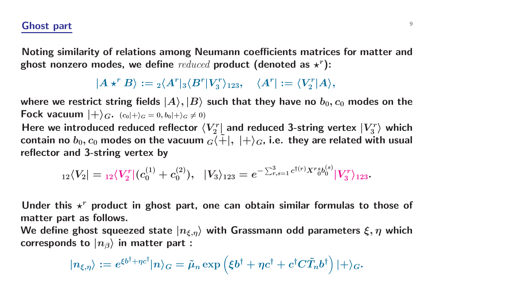## **Ghost** part **9**

Noting similarity of relations among Neumann coefficients matrices for matter and ghost nonzero modes, we define  $reduced$  product (denoted as  $\star^r$ ):

$$
|A \star^r B\rangle := {}_2\langle A^r |_3\langle B^r | V_3^r \rangle_{123}, \quad \langle A^r| := \langle V_2^r | A \rangle,
$$

where we restrict string fields  $|A\rangle, |B\rangle$  such that they have no  $b_0, c_0$  modes on the Fock vacuum  $|+\rangle_G.$   $(c_0|+\rangle_G=0, b_0|+\rangle_G\neq 0)$ 

Here we introduced reduced reflector  $\langle V_2^r|$  and reduced 3-string vertex  $\vert V_3^r\rangle$  which contain no  $b_0, c_0$  modes on the vacuum  ${}_G\langle \tilde{+}$  $|$ ,  $|+\rangle_G$ , i.e. they are related with <code>usual</code> **reflector and 3-string vertex by**

$$
{}_{12}\langle V_2| = {}_{12}\langle V^r_2| (c_0^{(1)} + c_0^{(2)}), \hskip 10pt |V_3\rangle_{123} = e^{-\sum_{r,s=1}^3 c^{\dagger(r)} X^r \delta b_0^{(s)}} |V^r_3\rangle_{123}.
$$

Under this  $\star^r$  product in ghost part, one can obtain similar formulas to those of **matter part as follows.**

We define ghost squeezed state  $\ket{n_{\xi,\eta}}$  with Grassmann odd parameters  $\xi,\eta$  which  ${\bf \textbf{correct}}$   $\textbf{const}$   $\textbf{to}\ |\ n_\beta \rangle$  in matter  ${\bf part}:$ 

$$
|n_{\xi,\eta}\rangle:=e^{\xi b^{\dagger}+\eta c^{\dagger}}|n\rangle_G=\tilde{\mu}_n\exp\left(\xi b^{\dagger}+\eta c^{\dagger}+c^{\dagger}C\tilde{T}_n b^{\dagger}\right)|+\rangle_G.
$$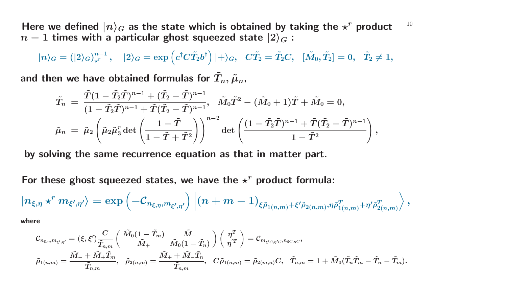Here we defined  $|n\rangle_G$  as the state which is obtained by taking the  $\star^r$  product  $^{-10}$  $n-1$  times with a particular ghost squeezed state  $|2\rangle_G$  :

$$
|n\rangle_G=(|2\rangle_G)_{\star^r}^{n-1}\,,\quad |2\rangle_G=\exp\left(c^\dagger C\tilde{T}_2b^\dagger\right)|+\rangle_G,\quad C\tilde{T}_2=\tilde{T}_2C,\quad [\tilde{M}_0,\tilde{T}_2]=0,\quad \tilde{T}_2\neq 1,
$$

and then we have obtained formulas for  $\tilde{T}_i$  $\boldsymbol{T_n},\tilde{\boldsymbol{\mu}}$ *n***,**

$$
\begin{aligned} \tilde T_n\;&=\;\frac{\tilde T(1-\tilde T_2\tilde T)^{n-1}+(\tilde T_2-\tilde T)^{n-1}}{(1-\tilde T_2\tilde T)^{n-1}+\tilde T(\tilde T_2-\tilde T)^{n-1}},\;\;\tilde M_0\tilde T^2-(\tilde M_0+1)\tilde T+\tilde M_0=0,\\ \tilde\mu_n\;&=\;\tilde\mu_2\left(\tilde\mu_2\tilde\mu_3^r\det\left(\frac{1-\tilde T}{1-\tilde T+\tilde T^2}\right)\right)^{n-2}\det\left(\frac{(1-\tilde T_2\tilde T)^{n-1}+\tilde T(\tilde T_2-\tilde T)^{n-1}}{1-\tilde T^2}\right), \end{aligned}
$$

**by solving the same recurrence equation as that in matter part.**

For these ghost squeezed states, we have the  $\star^r$  product formula:

$$
|n_{\xi,\eta}\star^r m_{\xi',\eta'}\rangle=\exp\left(-\mathcal{C}_{n_{\xi,\eta},m_{\xi',\eta'}}\right)\left|(n+m-1)_{\xi\tilde{\rho}_{1(n,m)}+\xi'\tilde{\rho}_{2(n,m)},\eta\tilde{\rho}^T_{1(n,m)}+\eta'\tilde{\rho}^T_{2(n,m)}}\right>,
$$

**where**

$$
\mathcal{C}_{n_{\xi,\eta},m_{\xi',\eta'}} = (\xi,\xi')\frac{C}{\tilde{T}_{n,m}} \bigg( \frac{\tilde{M}_0(1-\tilde{T}_m)}{\tilde{M}_+} \frac{\tilde{M}_-}{\tilde{M}_0(1-\tilde{T}_n)} \bigg) \bigg( \frac{\eta^T}{\eta^{'T}} \bigg) = \mathcal{C}_{m_{\xi'C,\eta'C},n_{\xi C,\eta C}},\\ \tilde{\rho}_{1(n,m)} = \frac{\tilde{M}_- + \tilde{M}_+ \tilde{T}_m}{\tilde{T}_{n,m}}, \quad \tilde{\rho}_{2(n,m)} = \frac{\tilde{M}_+ + \tilde{M}_- \tilde{T}_n}{\tilde{T}_{n,m}}, \quad C\tilde{\rho}_{1(n,m)} = \tilde{\rho}_{2(m,n)}C, \quad \tilde{T}_{n,m} = 1 + \tilde{M}_0(\tilde{T}_n\tilde{T}_m - \tilde{T}_n - \tilde{T}_m).
$$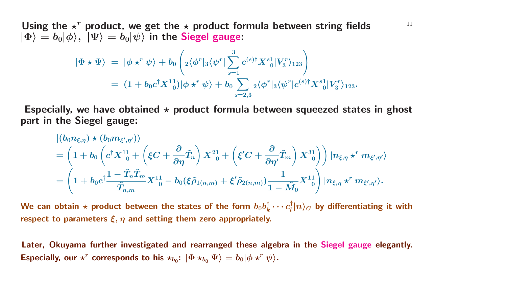Using the  $\star^r$  product, we get the  $\star$  product formula between string fields  $\hspace{0.6cm}$   $\hspace{0.6cm}$  $|\Phi\rangle = b_0 |\phi\rangle, \,\, |\Psi\rangle = b_0 |\psi\rangle$  in the Siegel gauge:

$$
\begin{array}{lllll} \displaystyle |\Phi\star\Psi\rangle\;=\; |\phi\star^r\psi\rangle +b_0\left({}_2\langle\phi^r|_3\langle\psi^r|\sum_{s=1}^3c^{(s)\dag}X^s{}_0^1|V_3^r\rangle_{123}\right)\\ & =\; (1+b_0c^{\dag}X^1{}_0^1)|\phi\star^r\psi\rangle +b_0\sum_{s=2,3}{}_2\langle\phi^r|_3\langle\psi^r|c^{(s)\dag}X^s{}_0^1|V_3^r\rangle_{123}.\end{array}
$$

Especially, we have obtained  $\star$  product formula between squeezed states in ghost **part in the Siegel gauge:**

$$
\begin{split} &|(b_0n_{\xi,\eta})\star(b_0m_{\xi',\eta'})\rangle\\ &=\left(1+b_0\left(c^\dagger X^1_{\phantom{1}0}+\left(\xi C+\frac{\partial}{\partial\eta}\tilde{T}_n\right)X^2_{\phantom{1}0}+\left(\xi' C+\frac{\partial}{\partial\eta'}\tilde{T}_m\right)X^3_{\phantom{1}0}\right)\right)|n_{\xi,\eta}\star^r m_{\xi',\eta'}\rangle\\ &=\left(1+b_0c^\dagger\frac{1-\tilde{T}_n\tilde{T}_m}{\tilde{T}_{n,m}}X^1_{\phantom{1}0}-b_0(\xi\tilde{\rho}_{1(n,m)}+\xi'\tilde{\rho}_{2(n,m)})\frac{1}{1-\tilde{M}_0}X^1_{\phantom{1}0}\right)|n_{\xi,\eta}\star^r m_{\xi',\eta'}\rangle. \end{split}
$$

We can obtain  $\star$  product between the states of the form  $b_0b_k^\dagger\cdots c_l^\dagger|n\rangle_G$  by differentiating it with **respect to parameters** *ξ, η* **and setting them zero appropriately.**

Later, Okuyama further investigated and rearranged these algebra in the Siegel gauge elegantly. Especially, our  $\star^r$  corresponds to his  $\star_{b_0}\colon\ket{\Phi\star_{b_0}\Psi}=b_0|\phi\star^r\psi\rangle.$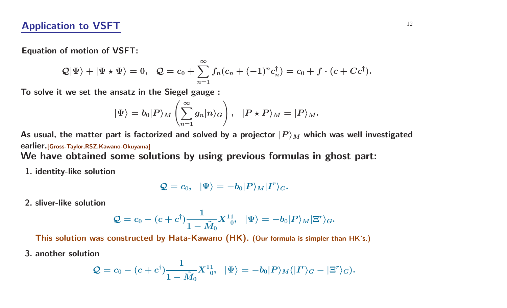**Equation of motion of VSFT:**

$$
\mathcal{Q}|\Psi\rangle+|\Psi\star\Psi\rangle=0,\ \ \mathcal{Q}=c_0+\sum_{n=1}^\infty f_n(c_n+(-1)^nc_n^\dagger)=c_0+f\cdot(c+Cc^\dagger).
$$

**To solve it we set the ansatz in the Siegel gauge :**

$$
|\Psi\rangle=b_0|P\rangle_M\left(\sum_{n=1}^\infty g_n|n\rangle_G\right),\;\;|P\star P\rangle_M=|P\rangle_M.
$$

As usual, the matter part is factorized and solved by a projector  $|P\rangle_M$  which was well investigated **earlier.[Gross-Taylor,RSZ,Kawano-Okuyama]**

We have obtained some solutions by using previous formulas in ghost part:

**1. identity-like solution**

$$
\mathcal{Q}=c_0,\;\; |\Psi\rangle=-b_0|P\rangle_M|I^r\rangle_G.
$$

**2. sliver-like solution**

$$
\mathcal{Q}=c_0-(c+c^\dagger)\frac{1}{1-\tilde{M}_0}X^{11}_{\phantom{1}0},\;\;|\Psi\rangle=-b_0|P\rangle_M|\Xi^r\rangle_G.
$$

This solution was constructed by Hata-Kawano (HK). (Our formula is simpler than HK's.)

**3. another solution**

$$
\mathcal{Q}=c_0-(c+c^\dagger)\frac{1}{1-\tilde{M}_0}X^{11}_{\phantom{1}0},\hspace{0.3cm}|\Psi\rangle=-b_0|P\rangle_M(|I^r\rangle_G-|\Xi^r\rangle_G).
$$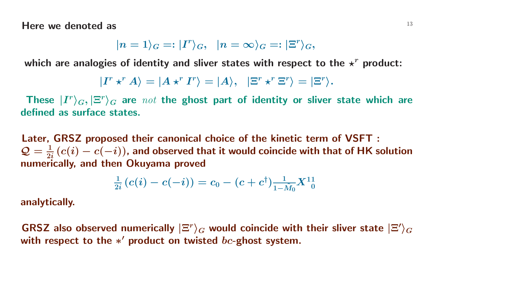**Here** we denoted as  $13$ 

$$
|n=1\rangle_G=:|I^r\rangle_G,\;\; |n=\infty\rangle_G=:|\Xi^r\rangle_G,
$$

which are analogies of identity and sliver states with respect to the  $\star^r$  product:

$$
|I^r \star^r A\rangle = |A \star^r I^r\rangle = |A\rangle, \ \ |\Xi^r \star^r \Xi^r\rangle = |\Xi^r\rangle.
$$

These  $|\bm{I}^{r}\rangle_{G},|\Xi^{r}\rangle_{G}$  are  $\emph{not}$  the ghost part of identity or sliver state which are **defined as surface states.**

Later, GRSZ proposed their canonical choice of the kinetic term of VSFT :  $\mathcal{Q} = \frac{1}{2i}(c(i) - c(-i))$ , and observed that it would coincide with that of HK solution **numerically, and then Okuyama proved**

$$
\tfrac{1}{2i}\left(c(i)-c(-i)\right)=c_0-(c+c^\dagger)\tfrac{1}{1-\tilde{M}_0}X^{11}_{\phantom{10}} \\
$$

**analytically.**

GRSZ also observed numerically  $|\Xi^r\rangle_G$  would coincide with their sliver state  $|\Xi'\rangle_G$ **with respect to the** *<sup>∗</sup>* **product on twisted** *bc***-ghost system.**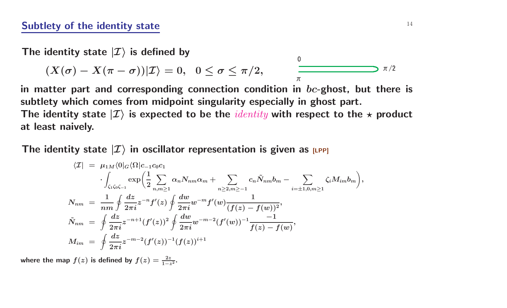The <code>identity</code> state  $|\mathcal{I}\rangle$  is defined by

$$
(X(\sigma)-X(\pi-\sigma))|\mathcal{I}\rangle=0,\;\;0\leq\sigma\leq\pi/2,\qquad\qquad\frac{\qquad \qquad }{\pi}
$$

in matter part and corresponding connection condition in  $bc$ -ghost, but there is **subtlety which comes from midpoint singularity especially in ghost part.** The identity state  $\ket{\mathcal{I}}$  is expected to be the  $\mathit{identity}$  with respect to the  $\star$  product **at least naively.**

 $\Omega$ 

 $\bm{\mathsf{T}}$ he <code>identity</code> state  $|\mathcal{I}\rangle$  in oscillator representation is given as  $_{\bm{\mathsf{[LPP]}}}$ 

$$
\langle \mathcal{I}| \; = \; \mu_{1M} \langle 0|_G \langle \Omega | c_{-1} c_0 c_1 \\ \cdot \int_{\zeta_1 \zeta_0 \zeta_{-1}} \exp \left( \frac{1}{2} \sum_{n,m \geq 1} \alpha_n N_{nm} \alpha_m + \sum_{n \geq 2, m \geq -1} c_n \tilde{N}_{nm} b_m - \sum_{i = \pm 1, 0, m \geq 1} \zeta_i M_{im} b_m \right),
$$
\n
$$
N_{nm} \; = \; \frac{1}{nm} \oint \frac{dz}{2\pi i} z^{-n} f'(z) \oint \frac{dw}{2\pi i} w^{-m} f'(w) \frac{1}{(f(z) - f(w))^2},
$$
\n
$$
\tilde{N}_{nm} \; = \; \oint \frac{dz}{2\pi i} z^{-n+1} (f'(z))^2 \oint \frac{dw}{2\pi i} w^{-m-2} (f'(w))^{-1} \frac{-1}{f(z) - f(w)},
$$
\n
$$
M_{im} \; = \; \oint \frac{dz}{2\pi i} z^{-m-2} (f'(z))^{-1} (f(z))^{i+1}
$$

where the map  $f(z)$  is defined by  $f(z) = \frac{2z}{1-z^2}$ .

 $\pi/2$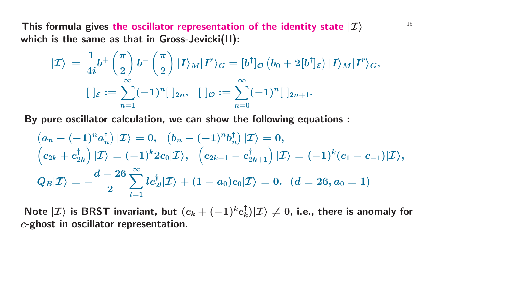This formula gives the oscillator representation of the identity state  $|\mathcal{I}\rangle$   $15$ **which is the same as that in Gross-Jevicki(II):**

$$
\begin{aligned} \ket{\mathcal{I}}&=\frac{1}{4i}b^{+}\left(\frac{\pi}{2}\right)b^{-}\left(\frac{\pi}{2}\right)\ket{I}_M\ket{I^r}_G=[b^{\dagger}]_\mathcal{O}\left(b_0+2[b^{\dagger}]_\mathcal{E}\right)\ket{I}_M\ket{I^r}_G,\\ &[\ ]_\mathcal{E}:=\sum_{n=1}^\infty(-1)^n[\ ]_{2n},\ \ [\ ]_\mathcal{O}:=\sum_{n=0}^\infty(-1)^n[\ ]_{2n+1}.\end{aligned}
$$

**By pure oscillator calculation, we can show the following equations :**

$$
(a_n - (-1)^n a_n^{\dagger}) |\mathcal{I}\rangle = 0, \quad (b_n - (-1)^n b_n^{\dagger}) |\mathcal{I}\rangle = 0,
$$
  
\n
$$
(c_{2k} + c_{2k}^{\dagger}) |\mathcal{I}\rangle = (-1)^k 2c_0 |\mathcal{I}\rangle, \quad (c_{2k+1} - c_{2k+1}^{\dagger}) |\mathcal{I}\rangle = (-1)^k (c_1 - c_{-1}) |\mathcal{I}\rangle,
$$
  
\n
$$
Q_B |\mathcal{I}\rangle = -\frac{d - 26}{2} \sum_{l=1}^{\infty} lc_{2l}^{\dagger} |\mathcal{I}\rangle + (1 - a_0)c_0 |\mathcal{I}\rangle = 0. \quad (d = 26, a_0 = 1)
$$

Note  $|\mathcal{I}\rangle$  is BRST invariant, but  $(c_k+(-1)^kc_k^{\dagger})|\mathcal{I}\rangle\neq 0$ , i.e., there is anomaly for *<sup>c</sup>***-ghost in oscillator representation.**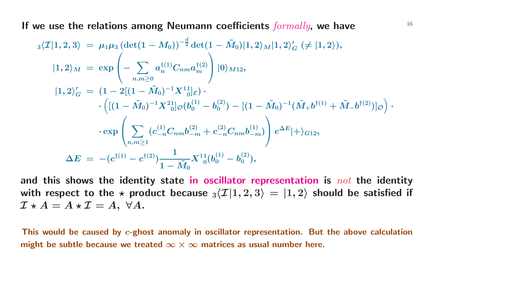<sup>16</sup> **If we use the relations among Neumann coefficients** *formally***, we have**

$$
\begin{array}{ll} \ _{3}\langle \mathcal{I}|1,2,3\rangle &=\ \mu_1\mu_3 \left(\det(1-M_0)\right)^{-\frac{d}{2}}\det(1-\tilde{M}_0)|1,2\rangle_{M}|1,2\rangle'_{G}\ (\neq |1,2\rangle),\\ [1,2\rangle_{M} &=\ \exp\left(-\sum_{n,m\geq 0}a_{n}^{\dagger(1)}C_{nm}a_{m}^{\dagger(2)}\right)|0\rangle_{M12},\\ [1,2\rangle'_{G} &=\ (1-2[(1-\tilde{M}_0)^{-1}X^{11}]_{\mathcal{E}})\cdot\\ &\qquad\qquad\cdot\left([(1-\tilde{M}_0)^{-1}X^{21}_{\ 0}]\sigma(b_{0}^{(1)}-b_{0}^{(2)})-[(1-\tilde{M}_0)^{-1}(\tilde{M}_{+}b^{\dagger(1)}+\tilde{M}_{-}b^{\dagger(2)})]_{\mathcal{O}}\right)\cdot\\ &\qquad\qquad\qquad\cdot\exp\left(\sum_{n,m\geq 1}(c_{-n}^{(1)}C_{nm}b_{-m}^{(2)}+c_{-n}^{(2)}C_{nm}b_{-m}^{(1)})\right)e^{\Delta E}|+\rangle_{G12},\\ \Delta E&=\ - (c^{\dagger(1)}-c^{\dagger(2)})\frac{1}{1-\tilde{M}_{0}}X^{11}_{\ 0}(b_{0}^{(1)}-b_{0}^{(2)}), \end{array}
$$

and this shows the identity state in oscillator representation is  $not$  the identity with respect to the  $\star$  product because  ${}_3\langle \mathcal{I}|1,2,3\rangle\,=\,|1,2\rangle$  should be satisfied if  $\mathcal{I} \star A = A \star \mathcal{I} = A, \; \forall A.$ 

This would be caused by c-ghost anomaly in oscillator representation. But the above calculation *might* be subtle because we treated  $\infty \times \infty$  matrices as usual number here.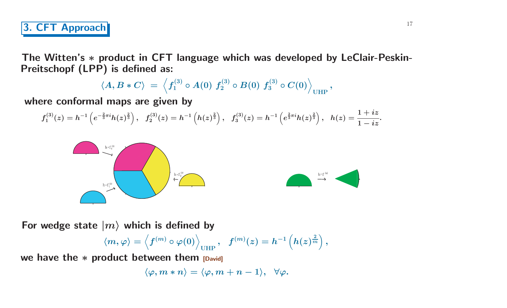The Witten's \* product in CFT language which was developed by LeClair-Peskin-**Preitschopf (LPP) is defined as:**

$$
\langle A, B\ast C \rangle \ = \ \Big\langle f^{(3)}_1 \circ A(0)\ f^{(3)}_2 \circ B(0)\ f^{(3)}_3 \circ C(0) \Big\rangle_\text{UHP}\,,
$$

**where conformal maps are given by**

$$
f_1^{(3)}(z)=h^{-1}\left(e^{-\frac{2}{3}\pi i}h(z)^{\frac{2}{3}}\right),~~f_2^{(3)}(z)=h^{-1}\left(h(z)^{\frac{2}{3}}\right),~~f_3^{(3)}(z)=h^{-1}\left(e^{\frac{2}{3}\pi i}h(z)^{\frac{2}{3}}\right),~~h(z)=\frac{1+iz}{1-iz}.
$$





For wedge state  $|m\rangle$  which is defined by

$$
\langle m , \varphi \rangle = \left\langle f^{(m)} \circ \varphi(0) \right\rangle_{\text{UHP}}, \; \; f^{(m)}(z) = h^{-1}\left( h(z)^{\frac{2}{m}} \right),
$$

**we have the** *<sup>∗</sup>* **product between them [David]**

$$
\langle \varphi,m\ast n\rangle=\langle \varphi,m+n-1\rangle,\;\;\forall \varphi.
$$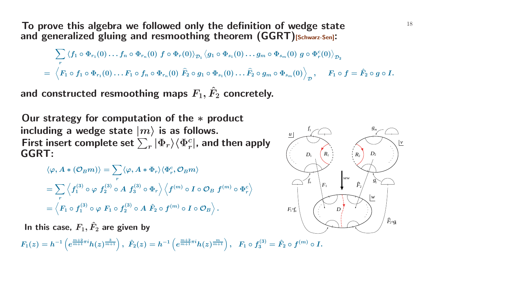To prove this algebra we followed only the definition of wedge state  $18$ **and generalized <sup>g</sup>luing and resmoothing theorem (GGRT)[Schwarz-Sen]:**

$$
\sum_r \left\langle f_1\circ \Phi_{r_1}(0)\dots f_n\circ \Phi_{r_n}(0)\ f\circ \Phi_r(0)\right\rangle_{\mathcal{D}_1} \left\langle g_1\circ \Phi_{s_1}(0)\dots g_m\circ \Phi_{s_m}(0)\ g\circ \Phi_r^c(0)\right\rangle_{\mathcal{D}_2}\\=\left\langle F_1\circ f_1\circ \Phi_{r_1}(0)\dots F_1\circ f_n\circ \Phi_{r_n}(0)\ \widehat{F}_2\circ g_1\circ \Phi_{s_1}(0)\dots \widehat{F}_2\circ g_m\circ \Phi_{s_m}(0)\right\rangle_{\mathcal{D}},\quad F_1\circ f=\hat{F}_2\circ g\circ I.
$$

and constructed resmoothing maps  $F_1, \hat{F}_2$ **<sup>2</sup> concretely.**

**Our strategy for computation of the** *<sup>∗</sup>* **product**  $\bm{\mathsf{including}}$  a wedge state  $\ket{m}$  is as follows. First insert complete set  $\sum_{r}|\Phi_{r}\rangle\langle\Phi_{r}^{c}|$ , and then apply **GGRT:**

$$
\langle \varphi, A * (\mathcal{O}_B m) \rangle = \sum_r \langle \varphi, A * \Phi_r \rangle \langle \Phi_r^c, \mathcal{O}_B m \rangle
$$
  
= 
$$
\sum_r \left\langle f_1^{(3)} \circ \varphi \ f_2^{(3)} \circ A \ f_3^{(3)} \circ \Phi_r \right\rangle \left\langle f^{(m)} \circ I \circ \mathcal{O}_B \ f^{(m)} \circ \Phi_r^c \right\rangle
$$
  
= 
$$
\left\langle F_1 \circ f_1^{(3)} \circ \varphi \ F_1 \circ f_2^{(3)} \circ A \ \hat{F}_2 \circ f^{(m)} \circ I \circ \mathcal{O}_B \right\rangle.
$$

 $\boldsymbol{F}_1, \hat{F}_2$  $F_2$  are given by

 $F_1(z)=h^{-1}\left(e^{\frac{m+2}{m+1}\pi i}h(z)^{\frac{3}{m+1}}\right),\,\,\hat{F}_2(z)=h^{-1}\left(e^{\frac{m+2}{m+1}\pi i}h(z)^{\frac{m}{m+1}}\right),\,\,\,\,F_1\circ f_3^{(3)}=\hat{F}_2\circ f^{(m)}\circ I.$ 

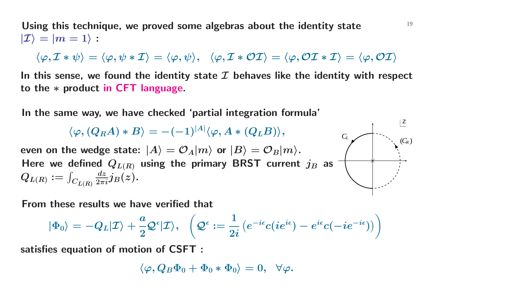**Using this technique, we proved some algebras about the identity state** <sup>19</sup>  $|\mathcal{I}\rangle=|m=1\rangle$  :

 $\langle \varphi, {\cal I}*\psi \rangle = \langle \varphi, \psi *{\cal I} \rangle = \langle \varphi, \psi \rangle, \;\; \langle \varphi, {\cal I}*\mathcal{OI} \rangle = \langle \varphi, \mathcal{OI}*{\cal I} \rangle = \langle \varphi, \mathcal{OI} \rangle$ 

In this sense, we found the identity state  $\mathcal I$  behaves like the identity with respect **to the** *<sup>∗</sup>* **product in CFT language.**

**In the same way, we have checked 'partial integration formula'**

 $\langle \varphi, (Q_R A) * B \rangle = - (-1)^{|A|} \langle \varphi, A * (Q_L B) \rangle,$ 

even on the wedge state:  $|A\rangle=\mathcal{O}_A|m\rangle$  or  $|B\rangle=\mathcal{O}_B|m\rangle.$ Here we defined  $Q_{L(R)}$  using the primary BRST current  $j_B$  as  $Q_{L(R)} := \int_{C_{L(R)}} \frac{dz}{2\pi i} j_B(z)$ .



**From these results we have verified that**

$$
|\Phi_0\rangle=-Q_L|\mathcal{I}\rangle+\frac{a}{2}\mathcal{Q}^\epsilon|\mathcal{I}\rangle,\ \ \, \left(\mathcal{Q}^\epsilon:=\frac{1}{2i}\left(e^{-i\epsilon}c(ie^{i\epsilon})-e^{i\epsilon}c(-ie^{-i\epsilon})\right)\right)
$$

**satisfies equation of motion of CSFT :**

$$
\langle \varphi, Q_B \Phi_0 + \Phi_0 * \Phi_0 \rangle = 0, \;\; \forall \varphi.
$$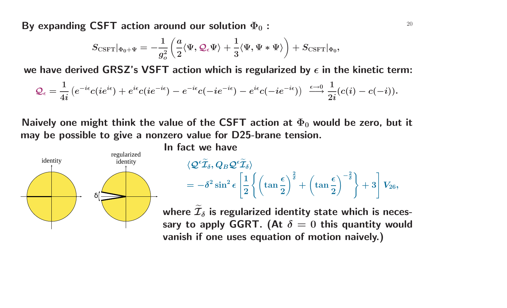**By** expanding CSFT action around our solution  $\Phi_0$  :  $1$  20  $1$  20  $1$ 

$$
S_{\text{CSFT}}|_{\Phi_0+\Psi}=-\frac{1}{g_o^2}\left(\frac{a}{2}\langle\Psi,\mathcal{Q}_\epsilon\Psi\rangle+\frac{1}{3}\langle\Psi,\Psi*\Psi\rangle\right)+S_{\text{CSFT}}|_{\Phi_0},
$$

we have derived GRSZ's VSFT action which is regularized by  $\epsilon$  in the kinetic term:

$$
\mathcal{Q}_\epsilon=\frac{1}{4i}\left(e^{-i\epsilon}c(ie^{i\epsilon})+e^{i\epsilon}c(ie^{-i\epsilon})-e^{-i\epsilon}c(-ie^{-i\epsilon})-e^{i\epsilon}c(-ie^{-i\epsilon})\right)\;\overset{\epsilon\rightarrow 0}{\longrightarrow}\frac{1}{2i}(c(i)-c(-i)).
$$

Naively one might think the value of the CSFT action at  $\Phi_0$  would be zero, but it **may be possible to give <sup>a</sup> nonzero value for D25-brane tension.**



$$
\begin{aligned} &\langle \mathcal{Q}^\epsilon \widetilde{\mathcal{I}}_\delta, Q_B \mathcal{Q}^\epsilon \widetilde{\mathcal{I}}_\delta \rangle \\ &= - \delta^2 \sin^2 \epsilon \left[ \frac{1}{2} \left\{ \left( \tan \frac{\epsilon}{2} \right)^\frac{2}{\delta} + \left( \tan \frac{\epsilon}{2} \right)^{-\frac{2}{\delta}} \right\} + 3 \right] V_{26}, \end{aligned}
$$

where  $\widetilde{\mathcal{I}}$  $\delta$  is regularized identity state which is neces**sary to** apply GGRT. (At  $\delta = 0$  this quantity would **vanish if one uses equation of motion naively.)**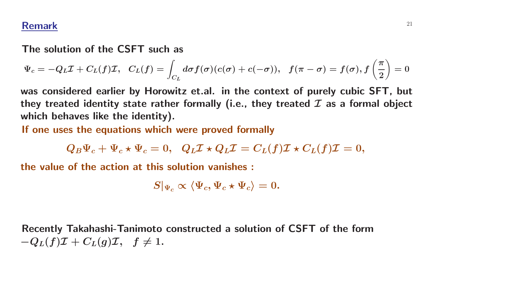### **Remark** <sup>21</sup>

#### **The solution of the CSFT such as**

$$
\Psi_c=-Q_L\mathcal{I}+C_L(f)\mathcal{I},~~C_L(f)=\int_{C_L}d\sigma f(\sigma)(c(\sigma)+c(-\sigma)),~~f(\pi-\sigma)=f(\sigma),f\left(\frac{\pi}{2}\right)=0
$$

was considered earlier by Horowitz et.al. in the context of purely cubic SFT, but they treated identity state rather formally (i.e., they treated  $\mathcal I$  as a formal object **which behaves like the identity).**

**If one uses the equations which were proved formally**

$$
Q_B \Psi_c + \Psi_c \star \Psi_c = 0,~~ Q_L \mathcal{I} \star Q_L \mathcal{I} = C_L(f) \mathcal{I} \star C_L(f) \mathcal{I} = 0,
$$

**the value of the action at this solution vanishes :**

$$
S|_{\Psi_c} \propto \langle \Psi_c, \Psi_c \star \Psi_c \rangle = 0.
$$

**Recently Takahashi-Tanimoto constructed <sup>a</sup> solution of CSFT of the form**  $-Q_L(f)\mathcal{I} + C_L(g)\mathcal{I}, \quad f \neq 1.$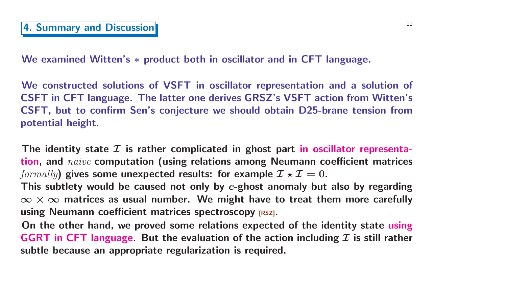**We examined Witten's** *<sup>∗</sup>* **product both in oscillator and in CFT language.**

We constructed solutions of VSFT in oscillator representation and a solution of CSFT in CFT language. The latter one derives GRSZ's VSFT action from Witten's CSFT, but to confirm Sen's conjecture we should obtain D25-brane tension from **potential height.**

The identity state  $\mathcal I$  is rather complicated in ghost part in oscillator representa**tion, and** *naive* **computation (using relations among Neumann coefficient matrices**  $formally$  ) gives some unexpected results: for example  $\mathcal{I} \star \mathcal{I} = 0.$ 

This subtlety would be caused not only by  $c$ -ghost anomaly but also by regarding  $\infty \times \infty$  matrices as usual number. We might have to treat them more carefully **using Neumann coefficient matrices spectroscopy [RSZ].**

On the other hand, we proved some relations expected of the identity state using GGRT in CFT language. But the evaluation of the action including  $\mathcal I$  is still rather **subtle because an appropriate regularization is required.**